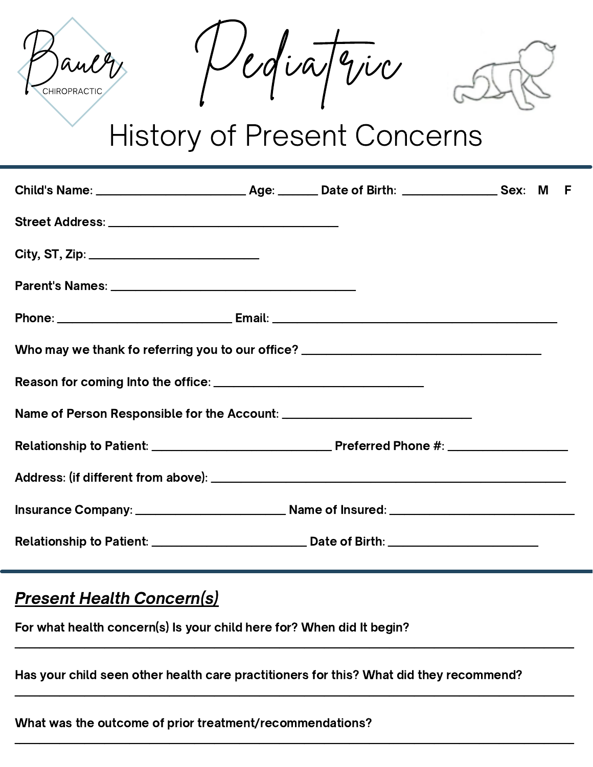

Vediatric



# History of Present Concerns

| Who may we thank fo referring you to our office? _______________________________ |  |  |  |
|----------------------------------------------------------------------------------|--|--|--|
|                                                                                  |  |  |  |
|                                                                                  |  |  |  |
|                                                                                  |  |  |  |
|                                                                                  |  |  |  |
|                                                                                  |  |  |  |
|                                                                                  |  |  |  |

## **Present Health Concern(s)**

For what health concern(s) Is your child here for? When did It begin?

Has your child seen other health care practitioners for this? What did they recommend?

\_\_\_\_\_\_\_\_\_\_\_\_\_\_\_\_\_\_\_\_\_\_\_\_\_\_\_\_\_\_\_\_\_\_\_\_\_\_\_\_\_\_\_\_\_\_\_\_\_\_\_\_\_\_\_\_\_\_\_\_\_\_\_\_\_\_\_\_\_\_\_\_\_\_\_\_\_\_\_\_\_\_\_\_\_\_\_\_\_\_\_\_\_\_\_\_\_\_\_\_\_\_\_\_\_\_\_\_\_\_\_\_

 $\_$  , and the set of the set of the set of the set of the set of the set of the set of the set of the set of the set of the set of the set of the set of the set of the set of the set of the set of the set of the set of th

\_\_\_\_\_\_\_\_\_\_\_\_\_\_\_\_\_\_\_\_\_\_\_\_\_\_\_\_\_\_\_\_\_\_\_\_\_\_\_\_\_\_\_\_\_\_\_\_\_\_\_\_\_\_\_\_\_\_\_\_\_\_\_\_\_\_\_\_\_\_\_\_\_\_\_\_\_\_\_\_\_\_\_\_\_\_\_\_\_\_\_\_\_\_\_\_\_\_\_\_\_\_\_\_\_\_\_\_\_\_\_\_

#### What was the outcome of prior treatment/recommendations?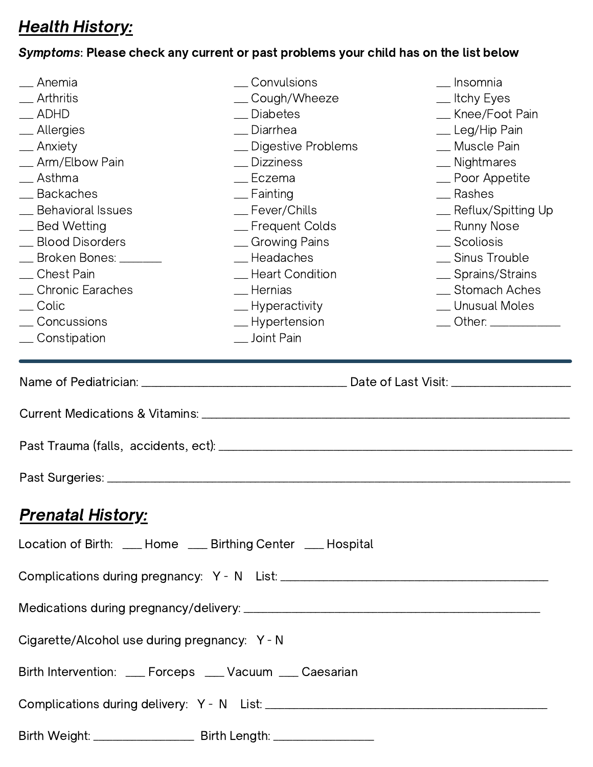# **Health History:**

### Symptoms: Please check any current or past problems your child has on the list below

| __ Anemia<br>Arthritis<br>$\_\$ ADHD<br>_ Allergies<br>__ Anxiety<br>__ Arm/Elbow Pain<br>_ Asthma<br>_ Backaches<br>_ Behavioral Issues<br>__ Bed Wetting<br>_ Blood Disorders<br><b>__ Broken Bones: _______</b><br>_ Chest Pain<br>Chronic Earaches<br>__ Colic<br>__Concussions<br>__Constipation | $\_\_$ Convulsions<br>__Cough/Wheeze<br>_ Diabetes<br>_ Diarrhea<br>_ Digestive Problems<br>__ Dizziness<br>_ Eczema<br>$\equiv$ Fainting<br>$r$ Fever/Chills<br>_ Frequent Colds<br>_ Growing Pains<br>__Headaches<br>_ Heart Condition<br>__Hernias<br>__ Hyperactivity<br>__Hypertension<br>__ Joint Pain | __ Insomnia<br>__ Itchy Eyes<br>_ Knee/Foot Pain<br>_ Leg/Hip Pain<br>_ Muscle Pain<br>_ Nightmares<br>_ Poor Appetite<br>__Rashes<br>_ Reflux/Spitting Up<br>_ Runny Nose<br>__ Scoliosis<br>_ Sinus Trouble<br>_ Sprains/Strains<br>_ Stomach Aches<br>_ Unusual Moles<br>$\frac{1}{2}$ Other: $\frac{1}{2}$ |
|-------------------------------------------------------------------------------------------------------------------------------------------------------------------------------------------------------------------------------------------------------------------------------------------------------|--------------------------------------------------------------------------------------------------------------------------------------------------------------------------------------------------------------------------------------------------------------------------------------------------------------|----------------------------------------------------------------------------------------------------------------------------------------------------------------------------------------------------------------------------------------------------------------------------------------------------------------|
|                                                                                                                                                                                                                                                                                                       |                                                                                                                                                                                                                                                                                                              |                                                                                                                                                                                                                                                                                                                |
|                                                                                                                                                                                                                                                                                                       |                                                                                                                                                                                                                                                                                                              |                                                                                                                                                                                                                                                                                                                |
|                                                                                                                                                                                                                                                                                                       |                                                                                                                                                                                                                                                                                                              |                                                                                                                                                                                                                                                                                                                |
| <u> Prenatal History:</u>                                                                                                                                                                                                                                                                             |                                                                                                                                                                                                                                                                                                              |                                                                                                                                                                                                                                                                                                                |
|                                                                                                                                                                                                                                                                                                       | Location of Birth: __ Home __ Birthing Center __ Hospital                                                                                                                                                                                                                                                    |                                                                                                                                                                                                                                                                                                                |
|                                                                                                                                                                                                                                                                                                       |                                                                                                                                                                                                                                                                                                              |                                                                                                                                                                                                                                                                                                                |
|                                                                                                                                                                                                                                                                                                       |                                                                                                                                                                                                                                                                                                              |                                                                                                                                                                                                                                                                                                                |
| Cigarette/Alcohol use during pregnancy: Y - N                                                                                                                                                                                                                                                         |                                                                                                                                                                                                                                                                                                              |                                                                                                                                                                                                                                                                                                                |
|                                                                                                                                                                                                                                                                                                       | Birth Intervention: ___ Forceps ___ Vacuum ___ Caesarian                                                                                                                                                                                                                                                     |                                                                                                                                                                                                                                                                                                                |
|                                                                                                                                                                                                                                                                                                       |                                                                                                                                                                                                                                                                                                              |                                                                                                                                                                                                                                                                                                                |
|                                                                                                                                                                                                                                                                                                       | Birth Weight: __________________________ Birth Length: _________________________                                                                                                                                                                                                                             |                                                                                                                                                                                                                                                                                                                |